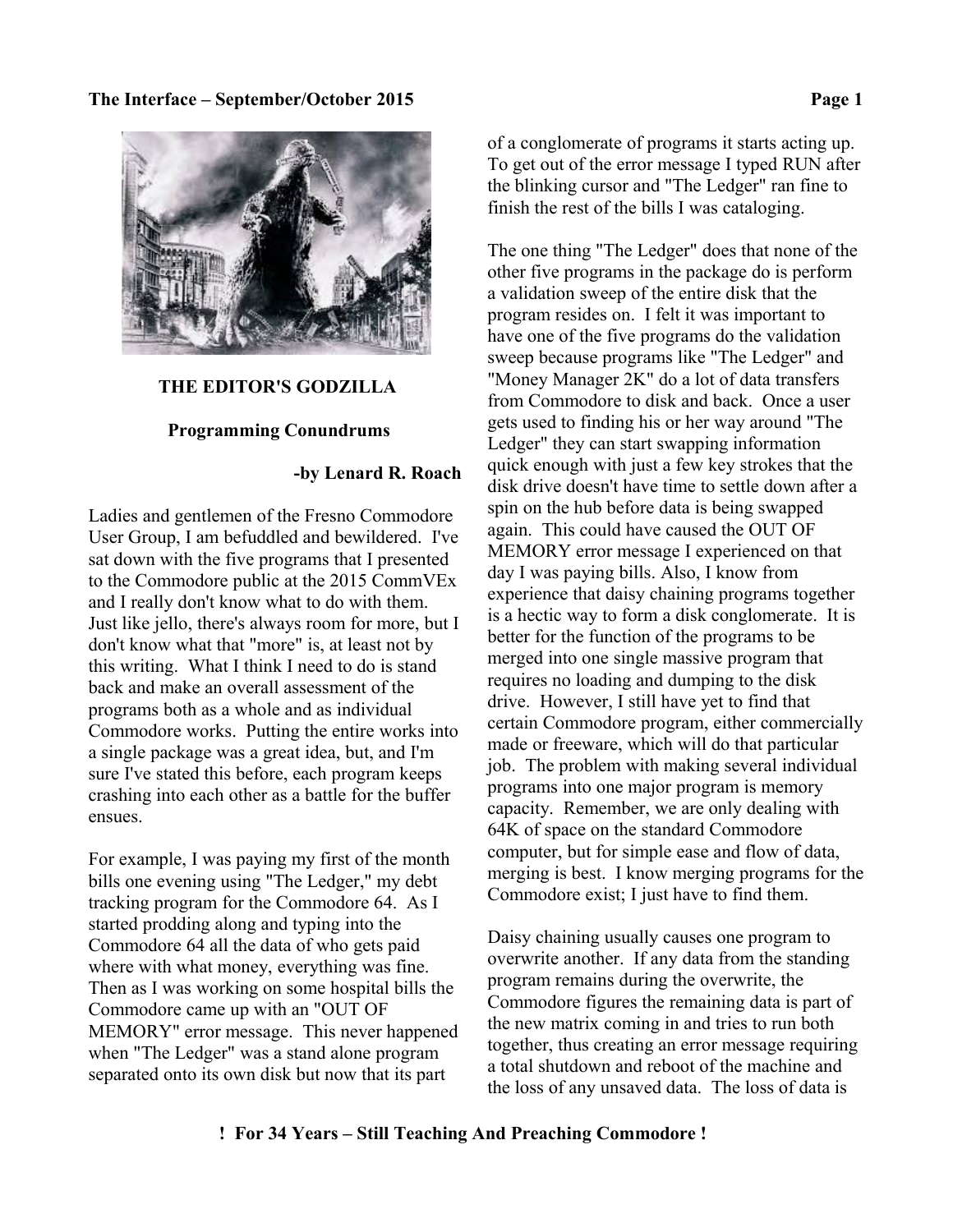

### **THE EDITOR'S GODZILLA**

### **Programming Conundrums**

### **-by Lenard R. Roach**

Ladies and gentlemen of the Fresno Commodore User Group, I am befuddled and bewildered. I've sat down with the five programs that I presented to the Commodore public at the 2015 CommVEx and I really don't know what to do with them. Just like jello, there's always room for more, but I don't know what that "more" is, at least not by this writing. What I think I need to do is stand back and make an overall assessment of the programs both as a whole and as individual Commodore works. Putting the entire works into a single package was a great idea, but, and I'm sure I've stated this before, each program keeps crashing into each other as a battle for the buffer ensues.

For example, I was paying my first of the month bills one evening using "The Ledger," my debt tracking program for the Commodore 64. As I started prodding along and typing into the Commodore 64 all the data of who gets paid where with what money, everything was fine. Then as I was working on some hospital bills the Commodore came up with an "OUT OF MEMORY" error message. This never happened when "The Ledger" was a stand alone program separated onto its own disk but now that its part

of a conglomerate of programs it starts acting up. To get out of the error message I typed RUN after the blinking cursor and "The Ledger" ran fine to finish the rest of the bills I was cataloging.

The one thing "The Ledger" does that none of the other five programs in the package do is perform a validation sweep of the entire disk that the program resides on. I felt it was important to have one of the five programs do the validation sweep because programs like "The Ledger" and "Money Manager 2K" do a lot of data transfers from Commodore to disk and back. Once a user gets used to finding his or her way around "The Ledger" they can start swapping information quick enough with just a few key strokes that the disk drive doesn't have time to settle down after a spin on the hub before data is being swapped again. This could have caused the OUT OF MEMORY error message I experienced on that day I was paying bills. Also, I know from experience that daisy chaining programs together is a hectic way to form a disk conglomerate. It is better for the function of the programs to be merged into one single massive program that requires no loading and dumping to the disk drive. However, I still have yet to find that certain Commodore program, either commercially made or freeware, which will do that particular job. The problem with making several individual programs into one major program is memory capacity. Remember, we are only dealing with 64K of space on the standard Commodore computer, but for simple ease and flow of data, merging is best. I know merging programs for the Commodore exist; I just have to find them.

Daisy chaining usually causes one program to overwrite another. If any data from the standing program remains during the overwrite, the Commodore figures the remaining data is part of the new matrix coming in and tries to run both together, thus creating an error message requiring a total shutdown and reboot of the machine and the loss of any unsaved data. The loss of data is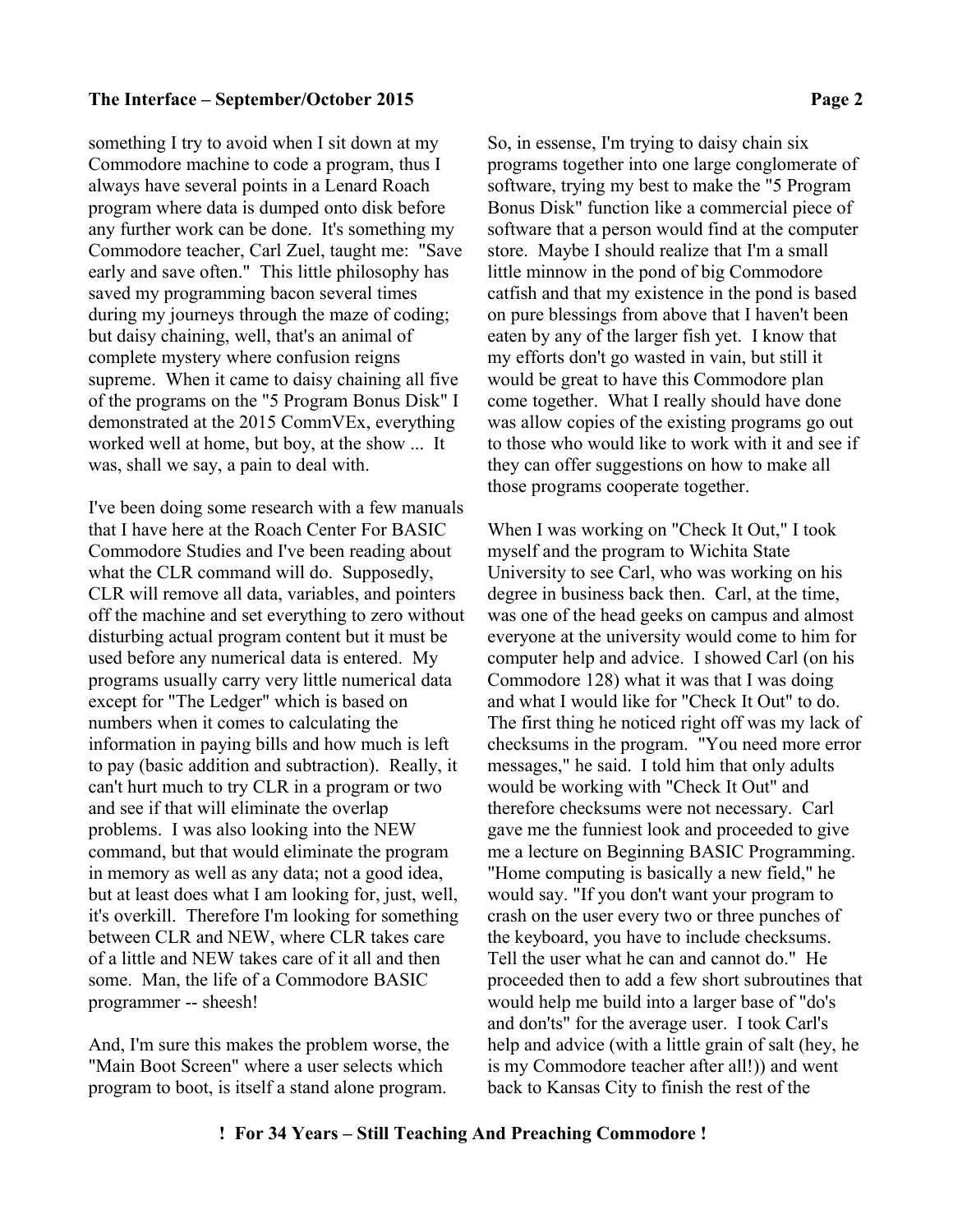something I try to avoid when I sit down at my Commodore machine to code a program, thus I always have several points in a Lenard Roach program where data is dumped onto disk before any further work can be done. It's something my Commodore teacher, Carl Zuel, taught me: "Save early and save often." This little philosophy has saved my programming bacon several times during my journeys through the maze of coding; but daisy chaining, well, that's an animal of complete mystery where confusion reigns supreme. When it came to daisy chaining all five of the programs on the "5 Program Bonus Disk" I demonstrated at the 2015 CommVEx, everything worked well at home, but boy, at the show ... It was, shall we say, a pain to deal with.

I've been doing some research with a few manuals that I have here at the Roach Center For BASIC Commodore Studies and I've been reading about what the CLR command will do. Supposedly, CLR will remove all data, variables, and pointers off the machine and set everything to zero without disturbing actual program content but it must be used before any numerical data is entered. My programs usually carry very little numerical data except for "The Ledger" which is based on numbers when it comes to calculating the information in paying bills and how much is left to pay (basic addition and subtraction). Really, it can't hurt much to try CLR in a program or two and see if that will eliminate the overlap problems. I was also looking into the NEW command, but that would eliminate the program in memory as well as any data; not a good idea, but at least does what I am looking for, just, well, it's overkill. Therefore I'm looking for something between CLR and NEW, where CLR takes care of a little and NEW takes care of it all and then some. Man, the life of a Commodore BASIC programmer -- sheesh!

And, I'm sure this makes the problem worse, the "Main Boot Screen" where a user selects which program to boot, is itself a stand alone program.

So, in essense, I'm trying to daisy chain six programs together into one large conglomerate of software, trying my best to make the "5 Program Bonus Disk" function like a commercial piece of software that a person would find at the computer store. Maybe I should realize that I'm a small little minnow in the pond of big Commodore catfish and that my existence in the pond is based on pure blessings from above that I haven't been eaten by any of the larger fish yet. I know that my efforts don't go wasted in vain, but still it would be great to have this Commodore plan come together. What I really should have done was allow copies of the existing programs go out to those who would like to work with it and see if they can offer suggestions on how to make all those programs cooperate together.

When I was working on "Check It Out," I took myself and the program to Wichita State University to see Carl, who was working on his degree in business back then. Carl, at the time, was one of the head geeks on campus and almost everyone at the university would come to him for computer help and advice. I showed Carl (on his Commodore 128) what it was that I was doing and what I would like for "Check It Out" to do. The first thing he noticed right off was my lack of checksums in the program. "You need more error messages," he said. I told him that only adults would be working with "Check It Out" and therefore checksums were not necessary. Carl gave me the funniest look and proceeded to give me a lecture on Beginning BASIC Programming. "Home computing is basically a new field," he would say. "If you don't want your program to crash on the user every two or three punches of the keyboard, you have to include checksums. Tell the user what he can and cannot do." He proceeded then to add a few short subroutines that would help me build into a larger base of "do's and don'ts" for the average user. I took Carl's help and advice (with a little grain of salt (hey, he is my Commodore teacher after all!)) and went back to Kansas City to finish the rest of the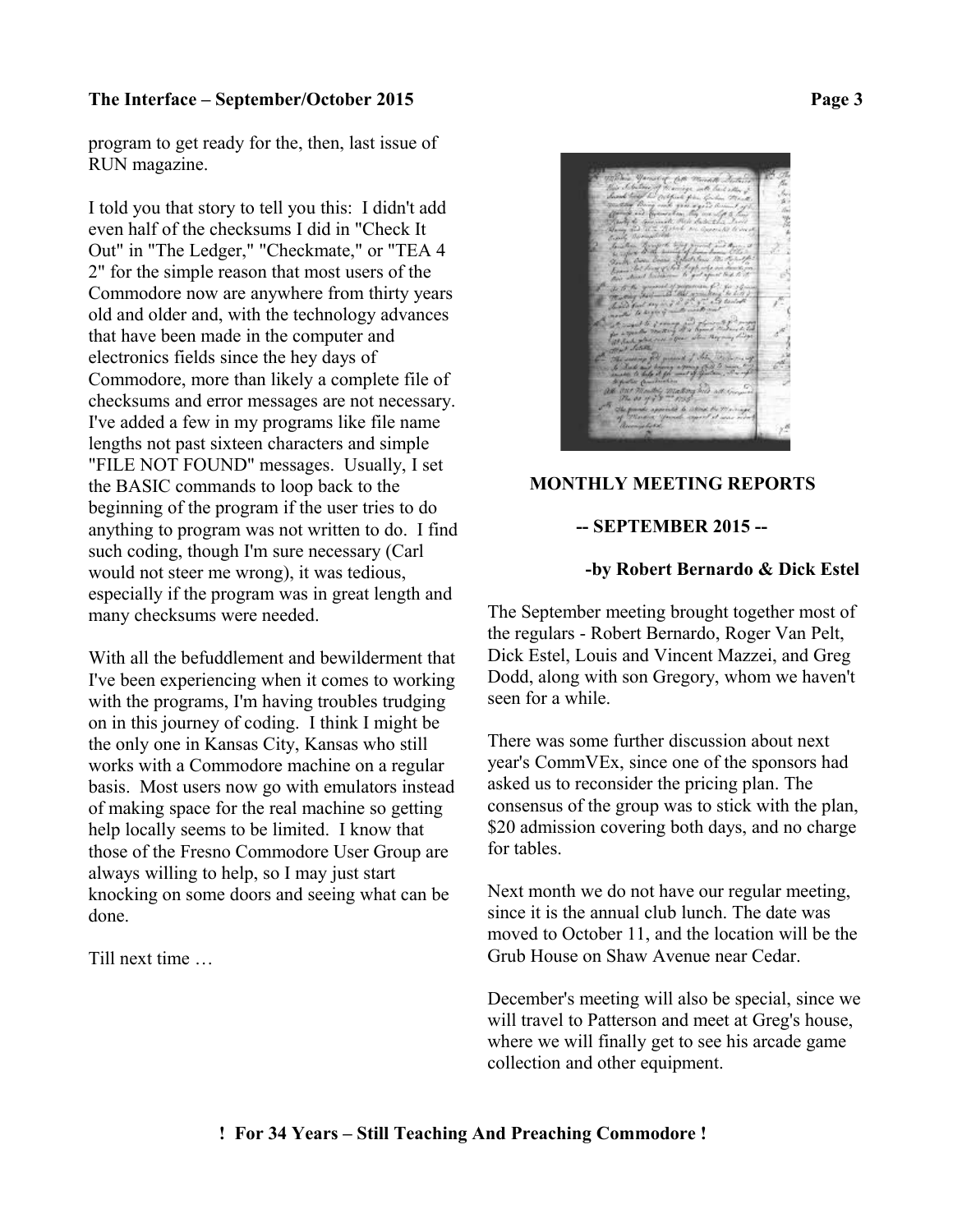program to get ready for the, then, last issue of RUN magazine.

I told you that story to tell you this: I didn't add even half of the checksums I did in "Check It Out" in "The Ledger," "Checkmate," or "TEA 4 2" for the simple reason that most users of the Commodore now are anywhere from thirty years old and older and, with the technology advances that have been made in the computer and electronics fields since the hey days of Commodore, more than likely a complete file of checksums and error messages are not necessary. I've added a few in my programs like file name lengths not past sixteen characters and simple "FILE NOT FOUND" messages. Usually, I set the BASIC commands to loop back to the beginning of the program if the user tries to do anything to program was not written to do. I find such coding, though I'm sure necessary (Carl would not steer me wrong), it was tedious, especially if the program was in great length and many checksums were needed.

With all the befuddlement and bewilderment that I've been experiencing when it comes to working with the programs, I'm having troubles trudging on in this journey of coding. I think I might be the only one in Kansas City, Kansas who still works with a Commodore machine on a regular basis. Most users now go with emulators instead of making space for the real machine so getting help locally seems to be limited. I know that those of the Fresno Commodore User Group are always willing to help, so I may just start knocking on some doors and seeing what can be done.

Till next time …



## **MONTHLY MEETING REPORTS**

### **-- SEPTEMBER 2015 --**

#### **-by Robert Bernardo & Dick Estel**

The September meeting brought together most of the regulars - Robert Bernardo, Roger Van Pelt, Dick Estel, Louis and Vincent Mazzei, and Greg Dodd, along with son Gregory, whom we haven't seen for a while.

There was some further discussion about next year's CommVEx, since one of the sponsors had asked us to reconsider the pricing plan. The consensus of the group was to stick with the plan, \$20 admission covering both days, and no charge for tables.

Next month we do not have our regular meeting, since it is the annual club lunch. The date was moved to October 11, and the location will be the Grub House on Shaw Avenue near Cedar.

December's meeting will also be special, since we will travel to Patterson and meet at Greg's house, where we will finally get to see his arcade game collection and other equipment.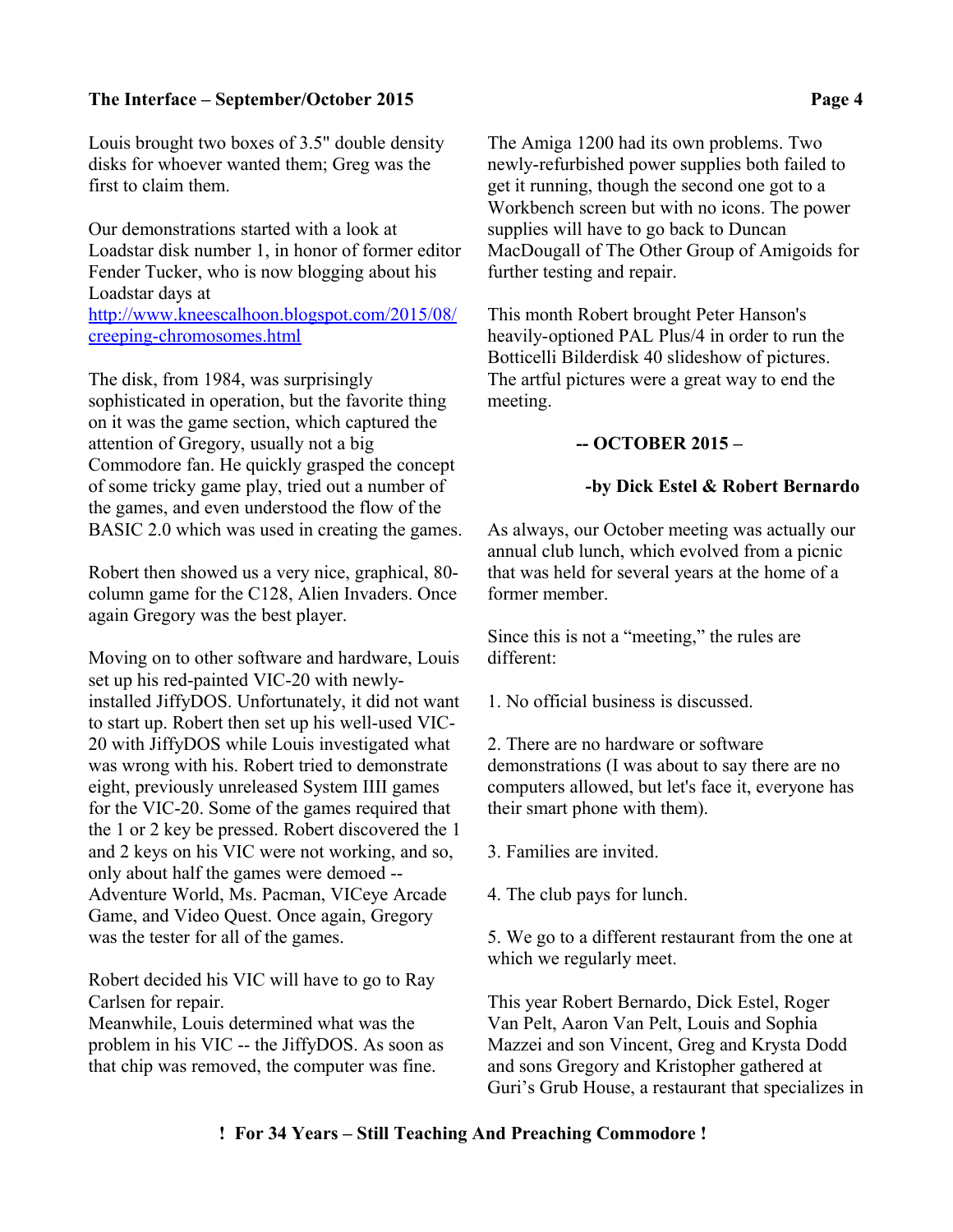Louis brought two boxes of 3.5" double density disks for whoever wanted them; Greg was the first to claim them.

Our demonstrations started with a look at Loadstar disk number 1, in honor of former editor Fender Tucker, who is now blogging about his Loadstar days at [http://www.kneescalhoon.blogspot.com/2015/08/](http://www.kneescalhoon.blogspot.com/2015/08/creeping-chromosomes.html) [creeping-chromosomes.html](http://www.kneescalhoon.blogspot.com/2015/08/creeping-chromosomes.html)

The disk, from 1984, was surprisingly sophisticated in operation, but the favorite thing on it was the game section, which captured the attention of Gregory, usually not a big Commodore fan. He quickly grasped the concept of some tricky game play, tried out a number of the games, and even understood the flow of the BASIC 2.0 which was used in creating the games.

Robert then showed us a very nice, graphical, 80 column game for the C128, Alien Invaders. Once again Gregory was the best player.

Moving on to other software and hardware, Louis set up his red-painted VIC-20 with newlyinstalled JiffyDOS. Unfortunately, it did not want to start up. Robert then set up his well-used VIC-20 with JiffyDOS while Louis investigated what was wrong with his. Robert tried to demonstrate eight, previously unreleased System IIII games for the VIC-20. Some of the games required that the 1 or 2 key be pressed. Robert discovered the 1 and 2 keys on his VIC were not working, and so, only about half the games were demoed -- Adventure World, Ms. Pacman, VICeye Arcade Game, and Video Quest. Once again, Gregory was the tester for all of the games.

Robert decided his VIC will have to go to Ray Carlsen for repair.

Meanwhile, Louis determined what was the problem in his VIC -- the JiffyDOS. As soon as that chip was removed, the computer was fine.

The Amiga 1200 had its own problems. Two newly-refurbished power supplies both failed to get it running, though the second one got to a Workbench screen but with no icons. The power supplies will have to go back to Duncan MacDougall of The Other Group of Amigoids for further testing and repair.

This month Robert brought Peter Hanson's heavily-optioned PAL Plus/4 in order to run the Botticelli Bilderdisk 40 slideshow of pictures. The artful pictures were a great way to end the meeting.

## **-- OCTOBER 2015 –**

### **-by Dick Estel & Robert Bernardo**

As always, our October meeting was actually our annual club lunch, which evolved from a picnic that was held for several years at the home of a former member.

Since this is not a "meeting," the rules are different:

1. No official business is discussed.

2. There are no hardware or software demonstrations (I was about to say there are no computers allowed, but let's face it, everyone has their smart phone with them).

3. Families are invited.

4. The club pays for lunch.

5. We go to a different restaurant from the one at which we regularly meet.

This year Robert Bernardo, Dick Estel, Roger Van Pelt, Aaron Van Pelt, Louis and Sophia Mazzei and son Vincent, Greg and Krysta Dodd and sons Gregory and Kristopher gathered at Guri's Grub House, a restaurant that specializes in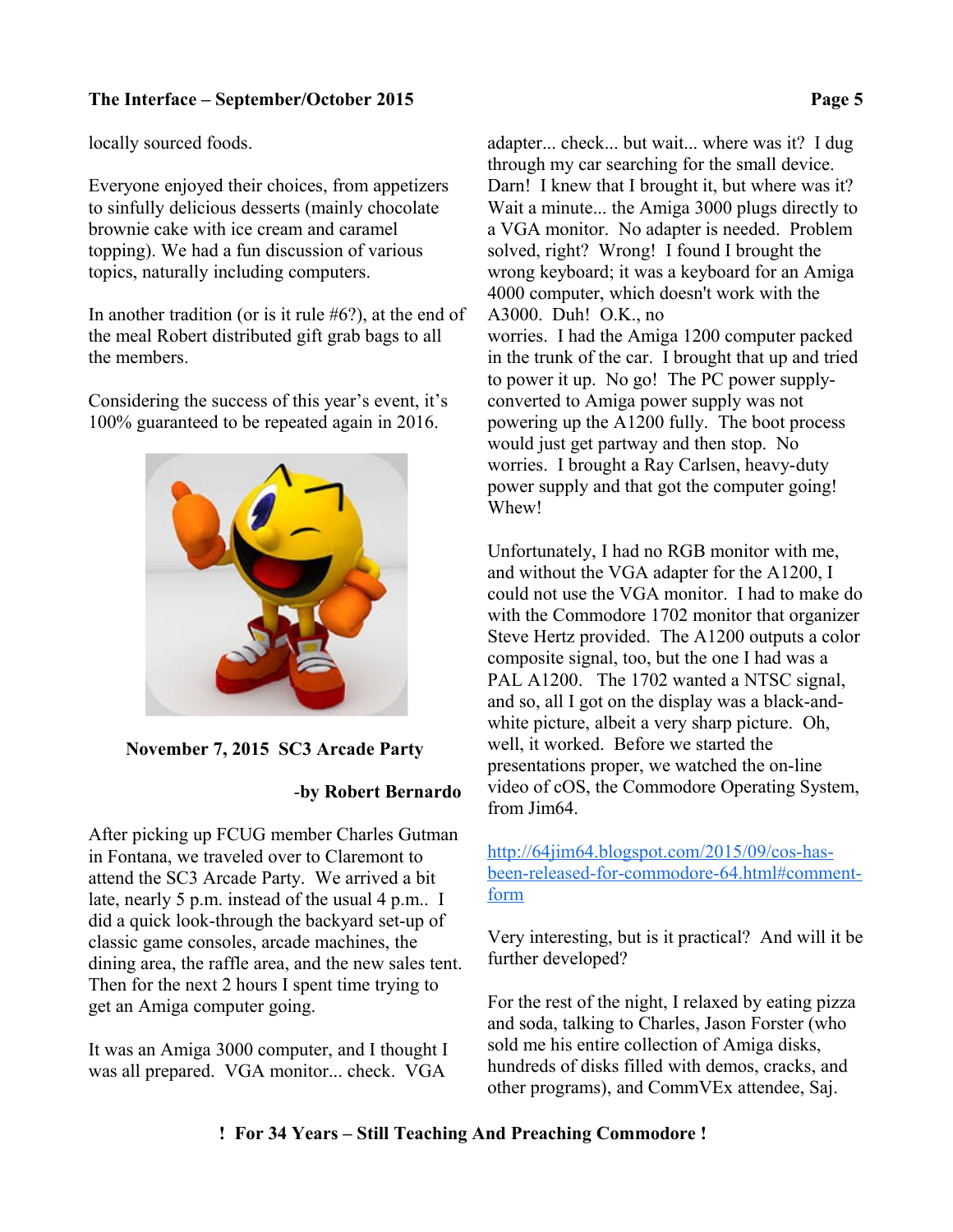locally sourced foods.

Everyone enjoyed their choices, from appetizers to sinfully delicious desserts (mainly chocolate brownie cake with ice cream and caramel topping). We had a fun discussion of various topics, naturally including computers.

In another tradition (or is it rule #6?), at the end of the meal Robert distributed gift grab bags to all the members.

Considering the success of this year's event, it's 100% guaranteed to be repeated again in 2016.



 **November 7, 2015 SC3 Arcade Party**

## -**by Robert Bernardo**

After picking up FCUG member Charles Gutman in Fontana, we traveled over to Claremont to attend the SC3 Arcade Party. We arrived a bit late, nearly 5 p.m. instead of the usual 4 p.m.. I did a quick look-through the backyard set-up of classic game consoles, arcade machines, the dining area, the raffle area, and the new sales tent. Then for the next 2 hours I spent time trying to get an Amiga computer going.

It was an Amiga 3000 computer, and I thought I was all prepared. VGA monitor... check. VGA

adapter... check... but wait... where was it? I dug through my car searching for the small device. Darn! I knew that I brought it, but where was it? Wait a minute... the Amiga 3000 plugs directly to a VGA monitor. No adapter is needed. Problem solved, right? Wrong! I found I brought the wrong keyboard; it was a keyboard for an Amiga 4000 computer, which doesn't work with the A3000. Duh! O.K., no worries. I had the Amiga 1200 computer packed in the trunk of the car. I brought that up and tried to power it up. No go! The PC power supplyconverted to Amiga power supply was not powering up the A1200 fully. The boot process would just get partway and then stop. No worries. I brought a Ray Carlsen, heavy-duty power supply and that got the computer going! Whew!

Unfortunately, I had no RGB monitor with me, and without the VGA adapter for the A1200, I could not use the VGA monitor. I had to make do with the Commodore 1702 monitor that organizer Steve Hertz provided. The A1200 outputs a color composite signal, too, but the one I had was a PAL A1200. The 1702 wanted a NTSC signal, and so, all I got on the display was a black-andwhite picture, albeit a very sharp picture. Oh, well, it worked. Before we started the presentations proper, we watched the on-line video of cOS, the Commodore Operating System, from Jim64.

[http://64jim64.blogspot.com/2015/09/cos-has](http://64jim64.blogspot.com/2015/09/cos-has-been-released-for-commodore-64.html#comment-form)[been-released-for-commodore-64.html#comment](http://64jim64.blogspot.com/2015/09/cos-has-been-released-for-commodore-64.html#comment-form)[form](http://64jim64.blogspot.com/2015/09/cos-has-been-released-for-commodore-64.html#comment-form)

Very interesting, but is it practical? And will it be further developed?

For the rest of the night, I relaxed by eating pizza and soda, talking to Charles, Jason Forster (who sold me his entire collection of Amiga disks, hundreds of disks filled with demos, cracks, and other programs), and CommVEx attendee, Saj.

# **! For 34 Years – Still Teaching And Preaching Commodore !**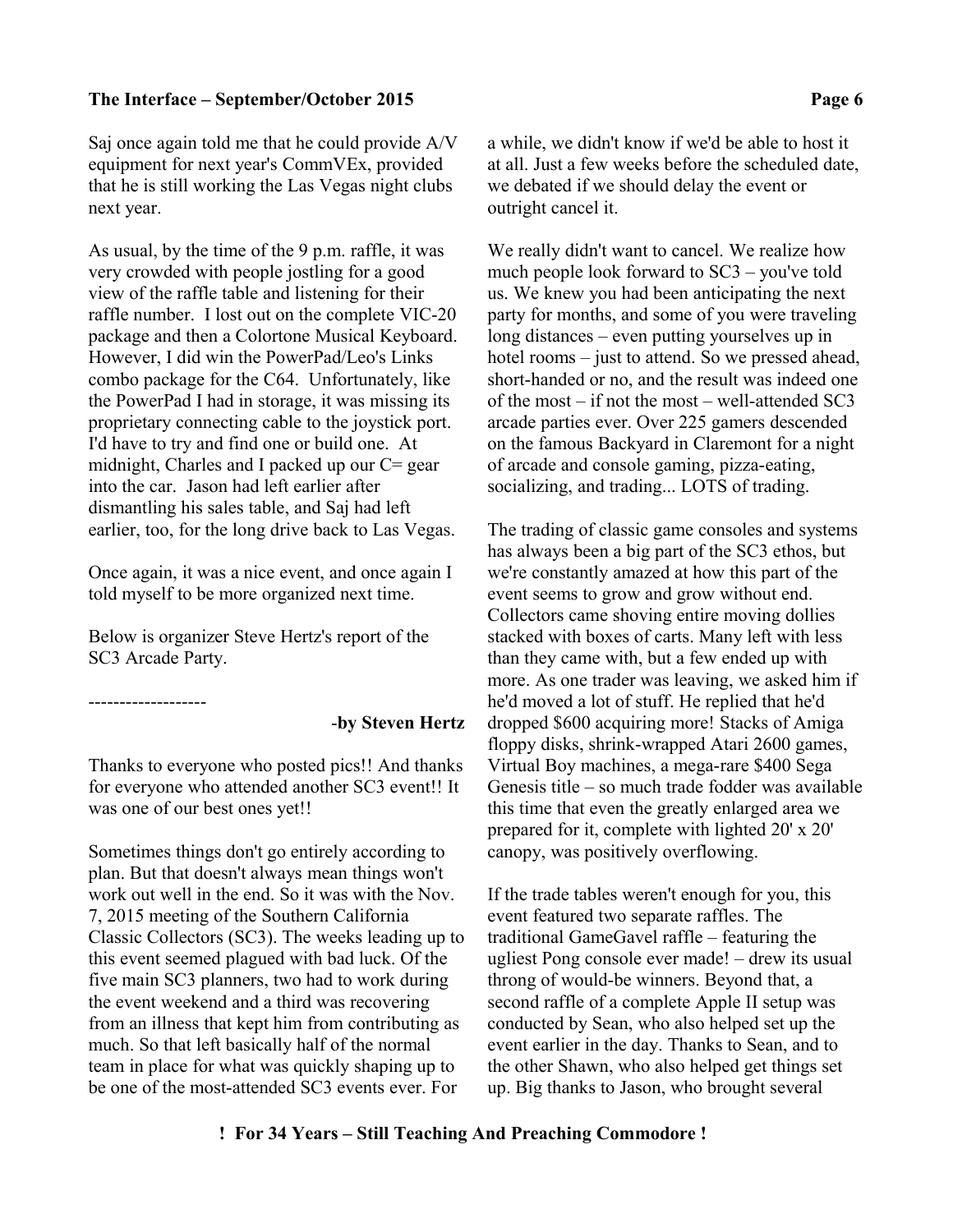Saj once again told me that he could provide A/V equipment for next year's CommVEx, provided that he is still working the Las Vegas night clubs next year.

As usual, by the time of the 9 p.m. raffle, it was very crowded with people jostling for a good view of the raffle table and listening for their raffle number. I lost out on the complete VIC-20 package and then a Colortone Musical Keyboard. However, I did win the PowerPad/Leo's Links combo package for the C64. Unfortunately, like the PowerPad I had in storage, it was missing its proprietary connecting cable to the joystick port. I'd have to try and find one or build one. At midnight, Charles and I packed up our C= gear into the car. Jason had left earlier after dismantling his sales table, and Saj had left earlier, too, for the long drive back to Las Vegas.

Once again, it was a nice event, and once again I told myself to be more organized next time.

Below is organizer Steve Hertz's report of the SC3 Arcade Party.

-------------------

#### -**by Steven Hertz**

Thanks to everyone who posted pics!! And thanks for everyone who attended another SC3 event!! It was one of our best ones yet!!

Sometimes things don't go entirely according to plan. But that doesn't always mean things won't work out well in the end. So it was with the Nov. 7, 2015 meeting of the Southern California Classic Collectors (SC3). The weeks leading up to this event seemed plagued with bad luck. Of the five main SC3 planners, two had to work during the event weekend and a third was recovering from an illness that kept him from contributing as much. So that left basically half of the normal team in place for what was quickly shaping up to be one of the most-attended SC3 events ever. For

a while, we didn't know if we'd be able to host it at all. Just a few weeks before the scheduled date, we debated if we should delay the event or outright cancel it.

We really didn't want to cancel. We realize how much people look forward to SC3 – you've told us. We knew you had been anticipating the next party for months, and some of you were traveling long distances – even putting yourselves up in hotel rooms – just to attend. So we pressed ahead, short-handed or no, and the result was indeed one of the most – if not the most – well-attended SC3 arcade parties ever. Over 225 gamers descended on the famous Backyard in Claremont for a night of arcade and console gaming, pizza-eating, socializing, and trading... LOTS of trading.

The trading of classic game consoles and systems has always been a big part of the SC3 ethos, but we're constantly amazed at how this part of the event seems to grow and grow without end. Collectors came shoving entire moving dollies stacked with boxes of carts. Many left with less than they came with, but a few ended up with more. As one trader was leaving, we asked him if he'd moved a lot of stuff. He replied that he'd dropped \$600 acquiring more! Stacks of Amiga floppy disks, shrink-wrapped Atari 2600 games, Virtual Boy machines, a mega-rare \$400 Sega Genesis title – so much trade fodder was available this time that even the greatly enlarged area we prepared for it, complete with lighted 20' x 20' canopy, was positively overflowing.

If the trade tables weren't enough for you, this event featured two separate raffles. The traditional GameGavel raffle – featuring the ugliest Pong console ever made! – drew its usual throng of would-be winners. Beyond that, a second raffle of a complete Apple II setup was conducted by Sean, who also helped set up the event earlier in the day. Thanks to Sean, and to the other Shawn, who also helped get things set up. Big thanks to Jason, who brought several

## **! For 34 Years – Still Teaching And Preaching Commodore !**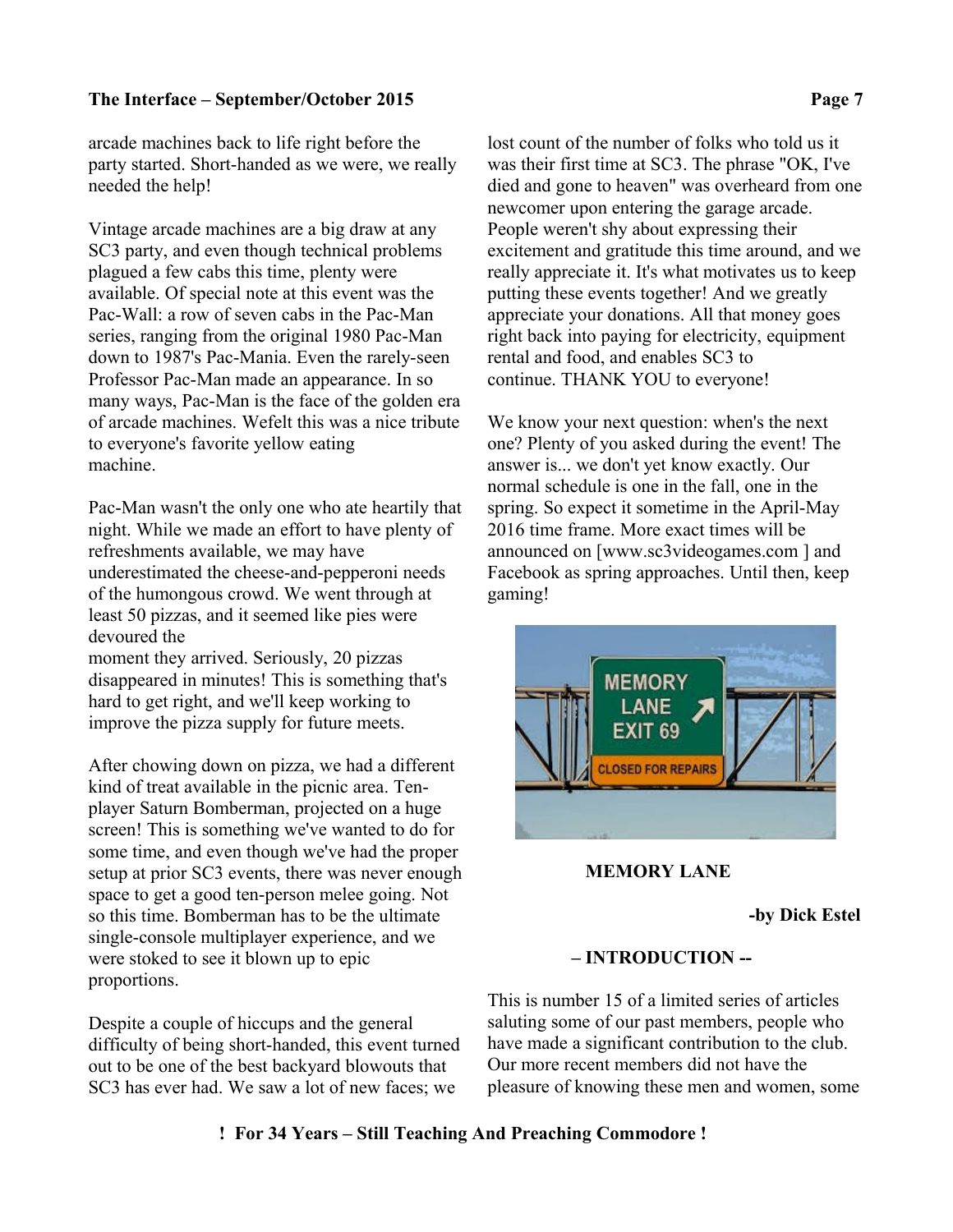arcade machines back to life right before the party started. Short-handed as we were, we really needed the help!

Vintage arcade machines are a big draw at any SC3 party, and even though technical problems plagued a few cabs this time, plenty were available. Of special note at this event was the Pac-Wall: a row of seven cabs in the Pac-Man series, ranging from the original 1980 Pac-Man down to 1987's Pac-Mania. Even the rarely-seen Professor Pac-Man made an appearance. In so many ways, Pac-Man is the face of the golden era of arcade machines. Wefelt this was a nice tribute to everyone's favorite yellow eating machine.

Pac-Man wasn't the only one who ate heartily that night. While we made an effort to have plenty of refreshments available, we may have underestimated the cheese-and-pepperoni needs of the humongous crowd. We went through at least 50 pizzas, and it seemed like pies were devoured the

moment they arrived. Seriously, 20 pizzas disappeared in minutes! This is something that's hard to get right, and we'll keep working to improve the pizza supply for future meets.

After chowing down on pizza, we had a different kind of treat available in the picnic area. Tenplayer Saturn Bomberman, projected on a huge screen! This is something we've wanted to do for some time, and even though we've had the proper setup at prior SC3 events, there was never enough space to get a good ten-person melee going. Not so this time. Bomberman has to be the ultimate single-console multiplayer experience, and we were stoked to see it blown up to epic proportions.

Despite a couple of hiccups and the general difficulty of being short-handed, this event turned out to be one of the best backyard blowouts that SC3 has ever had. We saw a lot of new faces; we

lost count of the number of folks who told us it was their first time at SC3. The phrase "OK, I've died and gone to heaven" was overheard from one newcomer upon entering the garage arcade. People weren't shy about expressing their excitement and gratitude this time around, and we really appreciate it. It's what motivates us to keep putting these events together! And we greatly appreciate your donations. All that money goes right back into paying for electricity, equipment rental and food, and enables SC3 to continue. THANK YOU to everyone!

We know your next question: when's the next one? Plenty of you asked during the event! The answer is... we don't yet know exactly. Our normal schedule is one in the fall, one in the spring. So expect it sometime in the April-May 2016 time frame. More exact times will be announced on [www.sc3videogames.com ] and Facebook as spring approaches. Until then, keep gaming!



## **MEMORY LANE**

### **-by Dick Estel**

## **– INTRODUCTION --**

This is number 15 of a limited series of articles saluting some of our past members, people who have made a significant contribution to the club. Our more recent members did not have the pleasure of knowing these men and women, some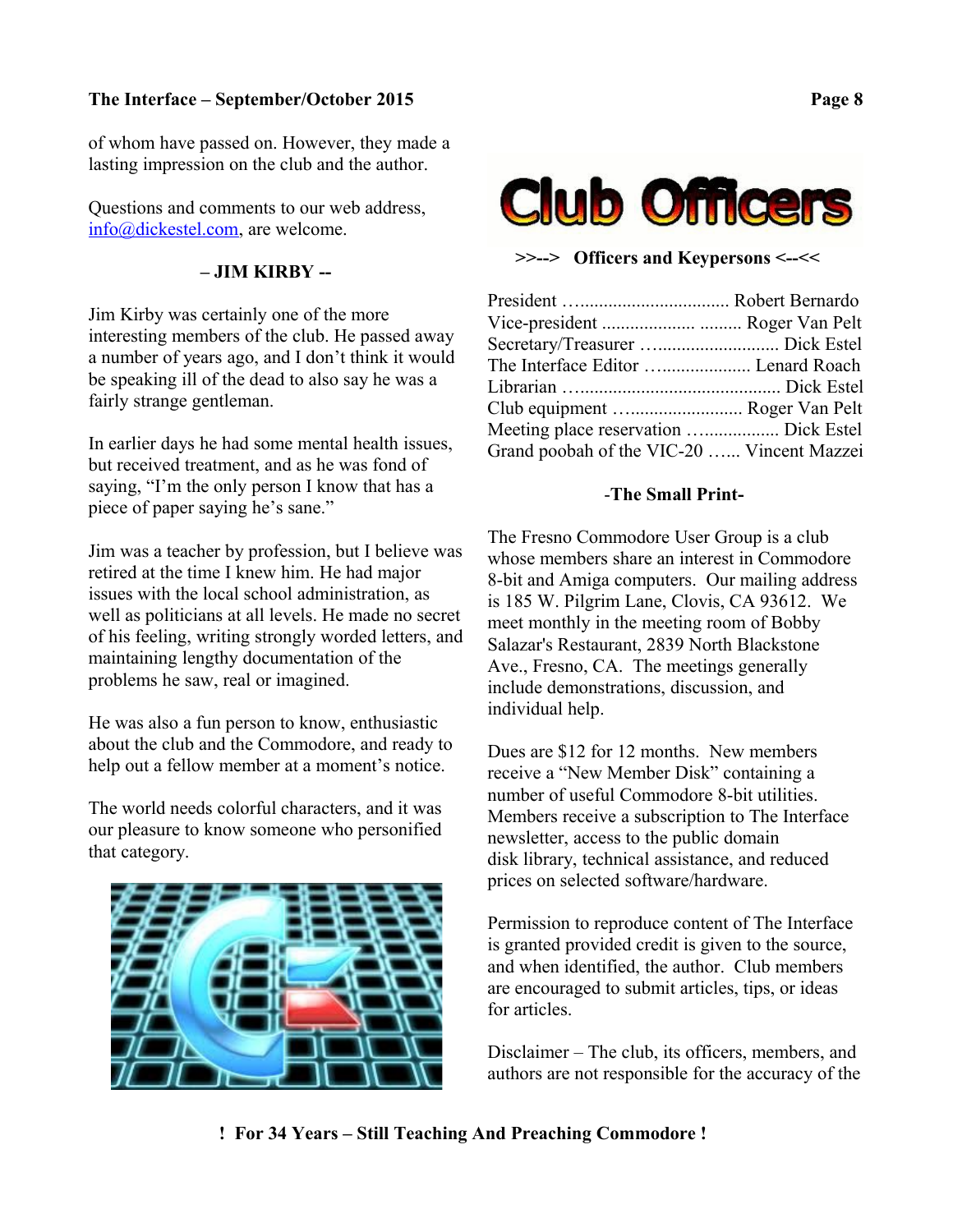of whom have passed on. However, they made a lasting impression on the club and the author.

Questions and comments to our web address, [info@dickestel.com,](mailto:info@dickestel.com) are welcome.

# **– JIM KIRBY --**

Jim Kirby was certainly one of the more interesting members of the club. He passed away a number of years ago, and I don't think it would be speaking ill of the dead to also say he was a fairly strange gentleman.

In earlier days he had some mental health issues, but received treatment, and as he was fond of saying, "I'm the only person I know that has a piece of paper saying he's sane."

Jim was a teacher by profession, but I believe was retired at the time I knew him. He had major issues with the local school administration, as well as politicians at all levels. He made no secret of his feeling, writing strongly worded letters, and maintaining lengthy documentation of the problems he saw, real or imagined.

He was also a fun person to know, enthusiastic about the club and the Commodore, and ready to help out a fellow member at a moment's notice.

The world needs colorful characters, and it was our pleasure to know someone who personified that category.





**>>--> Officers and Keypersons <--<<**

| The Interface Editor  Lenard Roach         |  |
|--------------------------------------------|--|
|                                            |  |
| Club equipment  Roger Van Pelt             |  |
| Meeting place reservation  Dick Estel      |  |
| Grand poobah of the VIC-20  Vincent Mazzei |  |

## -**The Small Print-**

The Fresno Commodore User Group is a club whose members share an interest in Commodore 8-bit and Amiga computers. Our mailing address is 185 W. Pilgrim Lane, Clovis, CA 93612. We meet monthly in the meeting room of Bobby Salazar's Restaurant, 2839 North Blackstone Ave., Fresno, CA. The meetings generally include demonstrations, discussion, and individual help.

Dues are \$12 for 12 months. New members receive a "New Member Disk" containing a number of useful Commodore 8-bit utilities. Members receive a subscription to The Interface newsletter, access to the public domain disk library, technical assistance, and reduced prices on selected software/hardware.

Permission to reproduce content of The Interface is granted provided credit is given to the source, and when identified, the author. Club members are encouraged to submit articles, tips, or ideas for articles.

Disclaimer – The club, its officers, members, and authors are not responsible for the accuracy of the